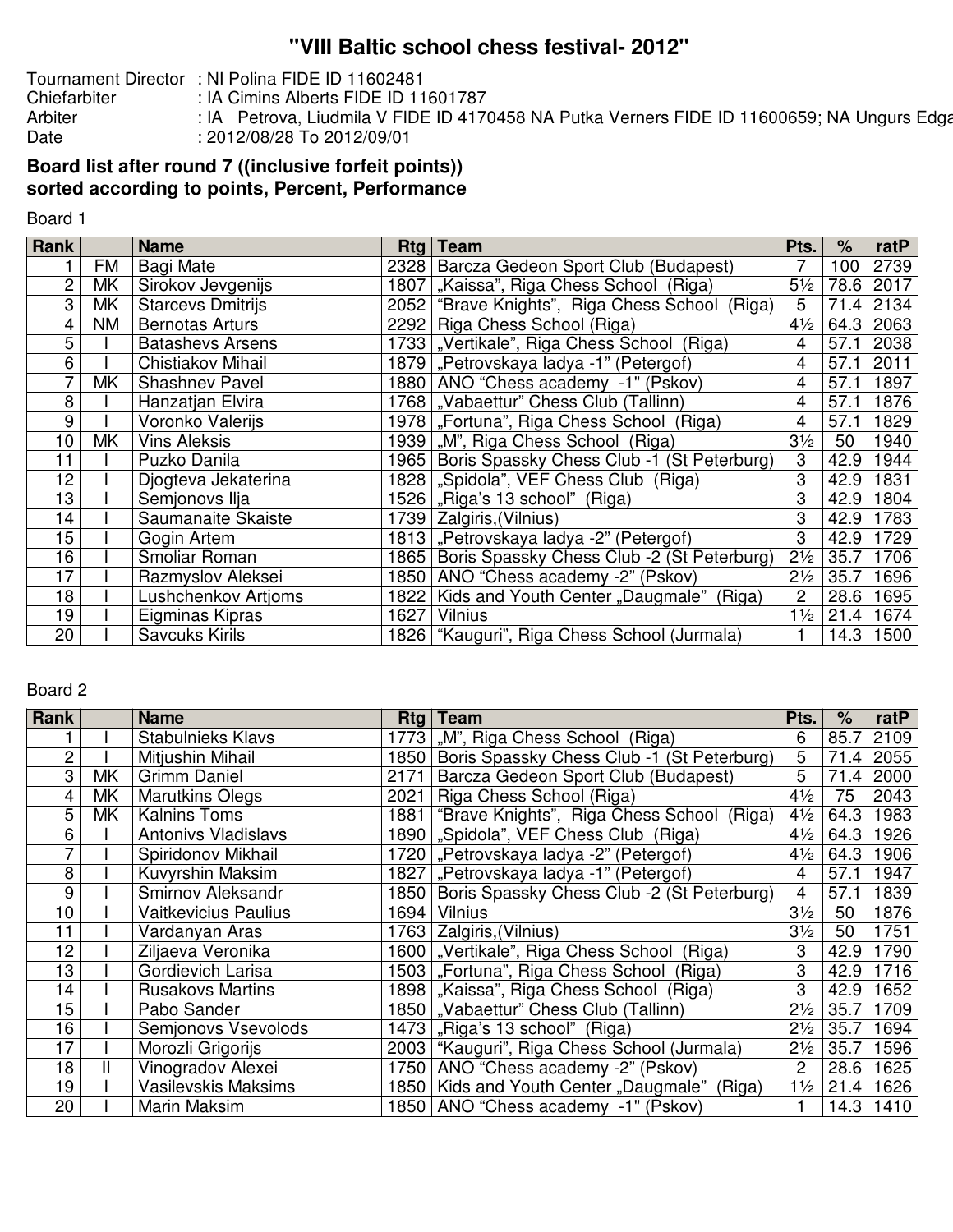# **''VIII Baltic school chess festival- 2012''**

Tournament Director : NI Polina FIDE ID 11602481<br>Chiefarbiter : IA Cimins Alberts FIDE ID 11

Chiefarbiter : IA Cimins Alberts FIDE ID 11601787<br>Arbiter : IA Petrova, Liudmila V FIDE ID 4170 Arbiter : IA Petrova, Liudmila V FIDE ID 4170458 NA Putka Verners FIDE ID 11600659; NA Ungurs Edgars Fute in t<br>Date : 2012/08/28 To 2012/09/01 : 2012/08/28 To 2012/09/01

## **Board list after round 7 ((inclusive forfeit points)) sorted according to points, Percent, Performance**

Board 1

| <b>Rank</b> |           | <b>Name</b>              | $Rtq \mid$ | <b>Team</b>                                   | Pts.           | $\frac{1}{\sqrt{2}}$ | ratP      |
|-------------|-----------|--------------------------|------------|-----------------------------------------------|----------------|----------------------|-----------|
|             | FM        | <b>Bagi Mate</b>         | 2328       | Barcza Gedeon Sport Club (Budapest)           |                | 100                  | 2739      |
| 2           | MΚ        | Sirokov Jevgenijs        | 1807       | "Kaissa", Riga Chess School (Riga)            | $5\frac{1}{2}$ | 78.6                 | 2017      |
| 3           | MK        | <b>Starcevs Dmitrijs</b> | 2052       | "Brave Knights", Riga Chess School (Riga)     | 5              | 71.4                 | 2134      |
| 4           | <b>NM</b> | <b>Bernotas Arturs</b>   | 2292       | Riga Chess School (Riga)                      | $4\frac{1}{2}$ | 64.3                 | 2063      |
| 5           |           | <b>Batashevs Arsens</b>  |            | 1733   "Vertikale", Riga Chess School (Riga)  | 4              | 57.1                 | 2038      |
| 6           |           | Chistiakov Mihail        |            | 1879   "Petrovskaya ladya -1" (Petergof)      | 4              | 57.1                 | 2011      |
|             | MK        | <b>Shashnev Pavel</b>    | 1880       | ANO "Chess academy -1" (Pskov)                | 4              | 57.1                 | 1897      |
| 8           |           | Hanzatjan Elvira         |            | 1768   "Vabaettur" Chess Club (Tallinn)       | 4              | 57.1                 | 1876      |
| 9           |           | Voronko Valerijs         |            | 1978   "Fortuna", Riga Chess School (Riga)    | 4              | 57.1                 | 1829      |
| 10          | MK        | <b>Vins Aleksis</b>      | 1939       | "M", Riga Chess School (Riga)                 | $3\frac{1}{2}$ | 50                   | 1940      |
| 11          |           | Puzko Danila             | 1965       | Boris Spassky Chess Club -1 (St Peterburg)    | 3              | 42.9                 | 1944      |
| 12          |           | Djogteva Jekaterina      | 1828       | "Spidola", VEF Chess Club (Riga)              | 3              | 42.9                 | 1831      |
| 13          |           | Semjonovs Ilja           | 1526       | "Riga's 13 school" (Riga)                     | 3              | 42.9                 | 1804      |
| 14          |           | Saumanaite Skaiste       | 1739       | Zalgiris, (Vilnius)                           | 3              | 42.9                 | 1783      |
| 15          |           | Gogin Artem              |            | 1813 "Petrovskaya ladya -2" (Petergof)        | 3              | 42.9                 | 1729      |
| 16          |           | Smoliar Roman            | 1865       | Boris Spassky Chess Club -2 (St Peterburg)    | $2\frac{1}{2}$ | 35.7                 | 1706      |
| 17          |           | Razmyslov Aleksei        | 1850       | ANO "Chess academy -2" (Pskov)                | $2\frac{1}{2}$ | 35.7                 | 1696      |
| 18          |           | Lushchenkov Artioms      | 1822       | Kids and Youth Center "Daugmale"<br>(Riga)    | $\overline{2}$ | 28.6                 | 1695      |
| 19          |           | Eigminas Kipras          | 1627       | <b>Vilnius</b>                                | $1\frac{1}{2}$ | 21.4                 | 1674      |
| 20          |           | <b>Savcuks Kirils</b>    |            | 1826   "Kauguri", Riga Chess School (Jurmala) |                |                      | 14.3 1500 |

#### Board 2

| <b>Rank</b> |    | <b>Name</b>                | $Rtq \mid$ | Team                                         | Pts.           | %    | ratP |
|-------------|----|----------------------------|------------|----------------------------------------------|----------------|------|------|
|             |    | <b>Stabulnieks Klavs</b>   | 1773       | "M", Riga Chess School (Riga)                | 6              | 85.7 | 2109 |
| 2           |    | Mitjushin Mihail           | 1850       | Boris Spassky Chess Club -1 (St Peterburg)   | 5              | 71.4 | 2055 |
| 3           | MK | <b>Grimm Daniel</b>        | 2171       | Barcza Gedeon Sport Club (Budapest)          | 5              | 71.4 | 2000 |
| 4           | МK | <b>Marutkins Olegs</b>     | 2021       | Riga Chess School (Riga)                     | $4\frac{1}{2}$ | 75   | 2043 |
| 5           | МK | <b>Kalnins Toms</b>        | 1881       | "Brave Knights", Riga Chess School (Riga)    | $4\frac{1}{2}$ | 64.3 | 1983 |
| 6           |    | <b>Antonivs Vladislavs</b> | 1890       | "Spidola", VEF Chess Club (Riga)             | $4\frac{1}{2}$ | 64.3 | 1926 |
|             |    | Spiridonov Mikhail         | 1720       | "Petrovskaya ladya -2" (Petergof)            | $4\frac{1}{2}$ | 64.3 | 1906 |
| 8           |    | Kuvyrshin Maksim           | 1827       | "Petrovskaya ladya -1" (Petergof)            | 4              | 57.1 | 1947 |
| 9           |    | Smirnov Aleksandr          | 1850       | Boris Spassky Chess Club -2 (St Peterburg)   | 4              | 57.1 | 1839 |
| 10          |    | Vaitkevicius Paulius       | 1694       | <b>Vilnius</b>                               | $3\frac{1}{2}$ | 50   | 1876 |
| 11          |    | Vardanyan Aras             | 1763       | Zalgiris, (Vilnius)                          | $3\frac{1}{2}$ | 50   | 1751 |
| 12          |    | Ziljaeva Veronika          |            | 1600   "Vertikale", Riga Chess School (Riga) | 3              | 42.9 | 1790 |
| 13          |    | Gordievich Larisa          |            | 1503   "Fortuna", Riga Chess School (Riga)   | 3              | 42.9 | 1716 |
| 14          |    | <b>Rusakovs Martins</b>    |            | 1898   "Kaissa", Riga Chess School (Riga)    | 3              | 42.9 | 1652 |
| 15          |    | Pabo Sander                | 1850       | "Vabaettur" Chess Club (Tallinn)             | $2\frac{1}{2}$ | 35.7 | 1709 |
| 16          |    | Semjonovs Vsevolods        | 1473       | "Riga's 13 school" (Riga)                    | $2\frac{1}{2}$ | 35.7 | 1694 |
| 17          |    | Morozli Grigorijs          | 2003       | "Kauguri", Riga Chess School (Jurmala)       | $2\frac{1}{2}$ | 35.7 | 1596 |
| 18          |    | Vinogradov Alexei          | 1750       | ANO "Chess academy -2" (Pskov)               | $\overline{2}$ | 28.6 | 1625 |
| 19          |    | Vasilevskis Maksims        | 1850       | Kids and Youth Center "Daugmale"<br>(Riga)   | $1\frac{1}{2}$ | 21.4 | 1626 |
| 20          |    | Marin Maksim               | 1850       | ANO "Chess academy -1" (Pskov)               |                | 14.3 | 1410 |